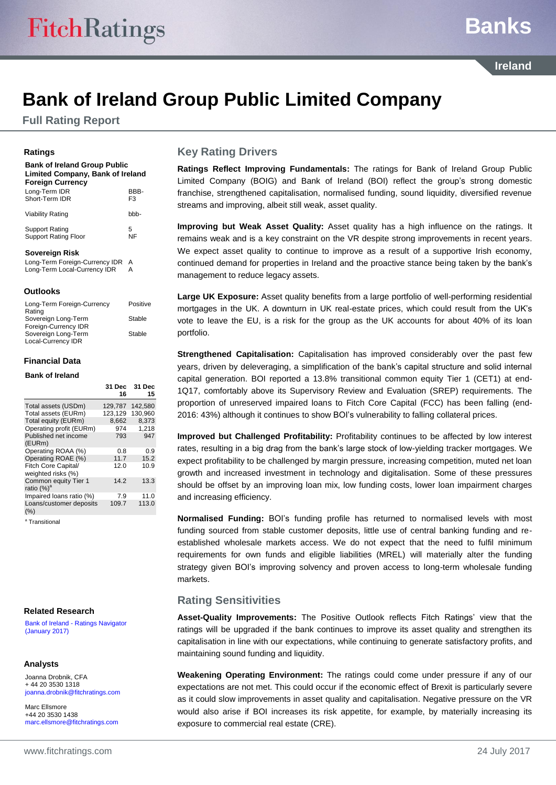## **Banks**

**Ireland**

## **Bank of Ireland Group Public Limited Company**

**Full Rating Report**

#### **Ratings**

**Bank of Ireland Group Public Limited Company, Bank of Ireland Foreign Currency** Long-Term IDR<br>Short-Term IDR F3 Short-Term IDR

| Viability Rating     | bbb- |
|----------------------|------|
| Support Rating       | 5    |
| Support Rating Floor | NF   |

#### **Sovereign Risk**

Long-Term Foreign-Currency IDR A Long-Term Local-Currency IDR

#### **Outlooks**

| Long-Term Foreign-Currency<br>Rating        | Positive |
|---------------------------------------------|----------|
| Sovereign Long-Term                         | Stable   |
| Foreign-Currency IDR<br>Sovereign Long-Term | Stable   |
| Local-Currency IDR                          |          |

#### **Financial Data**

#### **Bank of Ireland**

|                                                | 31 Dec<br>16 | 31 Dec<br>15 |
|------------------------------------------------|--------------|--------------|
| Total assets (USDm)                            | 129,787      | 142,580      |
| Total assets (EURm)                            | 123,129      | 130,960      |
| Total equity (EURm)                            | 8,662        | 8.373        |
| Operating profit (EURm)                        | 974          | 1.218        |
| Published net income<br>(EURm)                 | 793          | 947          |
| Operating ROAA (%)                             | 0.8          | 0.9          |
| Operating ROAE (%)                             | 11.7         | 15.2         |
| Fitch Core Capital/<br>weighted risks (%)      | 12.0         | 10.9         |
| Common equity Tier 1<br>ratio (%) <sup>a</sup> | 14.2         | 13.3         |
| Impaired loans ratio (%)                       | 7.9          | 11.0         |
| Loans/customer deposits<br>$(\% )$             | 109.7        | 113.0        |

<sup>a</sup> Transitional

#### **Related Research**

Bank of Ireland - [Ratings Navigator](https://www.fitchratings.com/site/re/893043)  [\(January 2017\)](https://www.fitchratings.com/site/re/893043)

#### **Analysts**

Joanna Drobnik, CFA + 44 20 3530 1318 [joanna.drobnik@fitchratings.com](mailto:joanna.drobnik@fitchratings.com)

Marc Ellsmore +44 20 3530 1438 [marc.ellsmore@fitchratings.com](mailto:marc.ellsmore@fitchratings.com)

## **Key Rating Drivers**

**Ratings Reflect Improving Fundamentals:** The ratings for Bank of Ireland Group Public Limited Company (BOIG) and Bank of Ireland (BOI) reflect the group's strong domestic franchise, strengthened capitalisation, normalised funding, sound liquidity, diversified revenue streams and improving, albeit still weak, asset quality.

**Improving but Weak Asset Quality:** Asset quality has a high influence on the ratings. It remains weak and is a key constraint on the VR despite strong improvements in recent years. We expect asset quality to continue to improve as a result of a supportive Irish economy, continued demand for properties in Ireland and the proactive stance being taken by the bank's management to reduce legacy assets.

**Large UK Exposure:** Asset quality benefits from a large portfolio of well-performing residential mortgages in the UK. A downturn in UK real-estate prices, which could result from the UK's vote to leave the EU, is a risk for the group as the UK accounts for about 40% of its loan portfolio.

**Strengthened Capitalisation:** Capitalisation has improved considerably over the past few years, driven by deleveraging, a simplification of the bank's capital structure and solid internal capital generation. BOI reported a 13.8% transitional common equity Tier 1 (CET1) at end-1Q17, comfortably above its Supervisory Review and Evaluation (SREP) requirements. The proportion of unreserved impaired loans to Fitch Core Capital (FCC) has been falling (end-2016: 43%) although it continues to show BOI's vulnerability to falling collateral prices.

**Improved but Challenged Profitability:** Profitability continues to be affected by low interest rates, resulting in a big drag from the bank's large stock of low-yielding tracker mortgages. We expect profitability to be challenged by margin pressure, increasing competition, muted net loan growth and increased investment in technology and digitalisation. Some of these pressures should be offset by an improving loan mix, low funding costs, lower loan impairment charges and increasing efficiency.

**Normalised Funding:** BOI's funding profile has returned to normalised levels with most funding sourced from stable customer deposits, little use of central banking funding and reestablished wholesale markets access. We do not expect that the need to fulfil minimum requirements for own funds and eligible liabilities (MREL) will materially alter the funding strategy given BOI's improving solvency and proven access to long-term wholesale funding markets.

## **Rating Sensitivities**

**Asset-Quality Improvements:** The Positive Outlook reflects Fitch Ratings' view that the ratings will be upgraded if the bank continues to improve its asset quality and strengthen its capitalisation in line with our expectations, while continuing to generate satisfactory profits, and maintaining sound funding and liquidity.

**Weakening Operating Environment:** The ratings could come under pressure if any of our expectations are not met. This could occur if the economic effect of Brexit is particularly severe as it could slow improvements in asset quality and capitalisation. Negative pressure on the VR would also arise if BOI increases its risk appetite, for example, by materially increasing its exposure to commercial real estate (CRE).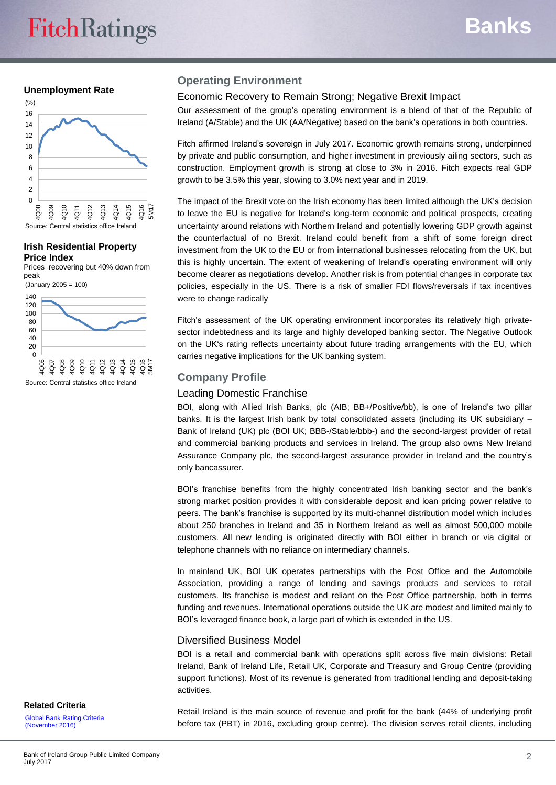#### **Unemployment Rate**



#### **Irish Residential Property Price Index**

Prices recovering but 40% down from peak



## **Operating Environment**

## Economic Recovery to Remain Strong; Negative Brexit Impact

Our assessment of the group's operating environment is a blend of that of the Republic of Ireland (A/Stable) and the UK (AA/Negative) based on the bank's operations in both countries.

Fitch affirmed Ireland's sovereign in July 2017. Economic growth remains strong, underpinned by private and public consumption, and higher investment in previously ailing sectors, such as construction. Employment growth is strong at close to 3% in 2016. Fitch expects real GDP growth to be 3.5% this year, slowing to 3.0% next year and in 2019.

The impact of the Brexit vote on the Irish economy has been limited although the UK's decision to leave the EU is negative for Ireland's long-term economic and political prospects, creating uncertainty around relations with Northern Ireland and potentially lowering GDP growth against the counterfactual of no Brexit. Ireland could benefit from a shift of some foreign direct investment from the UK to the EU or from international businesses relocating from the UK, but this is highly uncertain. The extent of weakening of Ireland's operating environment will only become clearer as negotiations develop. Another risk is from potential changes in corporate tax policies, especially in the US. There is a risk of smaller FDI flows/reversals if tax incentives were to change radically

Fitch's assessment of the UK operating environment incorporates its relatively high privatesector indebtedness and its large and highly developed banking sector. The Negative Outlook on the UK's rating reflects uncertainty about future trading arrangements with the EU, which carries negative implications for the UK banking system.

## **Company Profile**

### Leading Domestic Franchise

BOI, along with Allied Irish Banks, plc (AIB; BB+/Positive/bb), is one of Ireland's two pillar banks. It is the largest Irish bank by total consolidated assets (including its UK subsidiary -Bank of Ireland (UK) plc (BOI UK; BBB-/Stable/bbb-) and the second-largest provider of retail and commercial banking products and services in Ireland. The group also owns New Ireland Assurance Company plc, the second-largest assurance provider in Ireland and the country's only bancassurer.

BOI's franchise benefits from the highly concentrated Irish banking sector and the bank's strong market position provides it with considerable deposit and loan pricing power relative to peers. The bank's franchise is supported by its multi-channel distribution model which includes about 250 branches in Ireland and 35 in Northern Ireland as well as almost 500,000 mobile customers. All new lending is originated directly with BOI either in branch or via digital or telephone channels with no reliance on intermediary channels.

In mainland UK, BOI UK operates partnerships with the Post Office and the Automobile Association, providing a range of lending and savings products and services to retail customers. Its franchise is modest and reliant on the Post Office partnership, both in terms funding and revenues. International operations outside the UK are modest and limited mainly to BOI's leveraged finance book, a large part of which is extended in the US.

## Diversified Business Model

BOI is a retail and commercial bank with operations split across five main divisions: Retail Ireland, Bank of Ireland Life, Retail UK, Corporate and Treasury and Group Centre (providing support functions). Most of its revenue is generated from traditional lending and deposit-taking activities.

Retail Ireland is the main source of revenue and profit for the bank (44% of underlying profit before tax (PBT) in 2016, excluding group centre). The division serves retail clients, including

## **Related Criteria**

[Global Bank Rating Criteria](https://www.fitchratings.com/site/re/891051)  [\(November 2016\)](https://www.fitchratings.com/site/re/891051)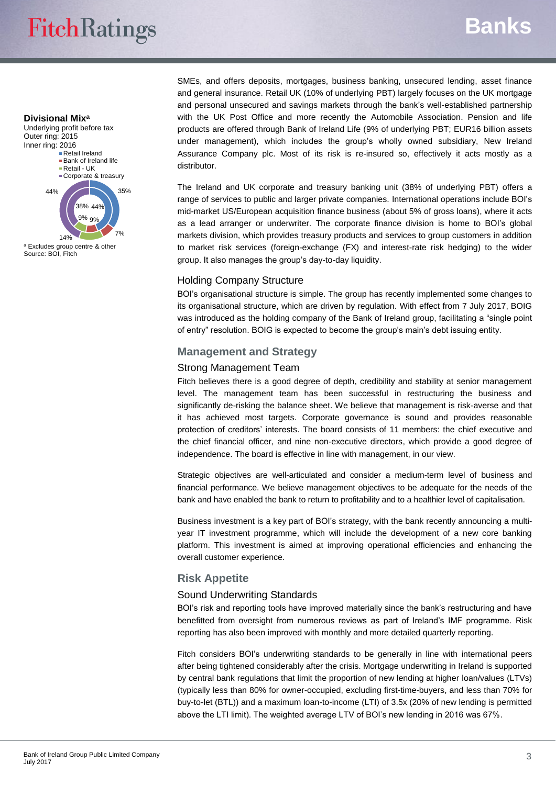# **FitchRatings**

## **Banks**

#### **Divisional Mix<sup>a</sup>**





<sup>a</sup> Excludes group centre & other Source: BOI, Fitch

SMEs, and offers deposits, mortgages, business banking, unsecured lending, asset finance and general insurance. Retail UK (10% of underlying PBT) largely focuses on the UK mortgage and personal unsecured and savings markets through the bank's well-established partnership with the UK Post Office and more recently the Automobile Association. Pension and life products are offered through Bank of Ireland Life (9% of underlying PBT; EUR16 billion assets under management), which includes the group's wholly owned subsidiary, New Ireland Assurance Company plc. Most of its risk is re-insured so, effectively it acts mostly as a distributor.

The Ireland and UK corporate and treasury banking unit (38% of underlying PBT) offers a range of services to public and larger private companies. International operations include BOI's mid-market US/European acquisition finance business (about 5% of gross loans), where it acts as a lead arranger or underwriter. The corporate finance division is home to BOI's global markets division, which provides treasury products and services to group customers in addition to market risk services (foreign-exchange (FX) and interest-rate risk hedging) to the wider group. It also manages the group's day-to-day liquidity.

## Holding Company Structure

BOI's organisational structure is simple. The group has recently implemented some changes to its organisational structure, which are driven by regulation. With effect from 7 July 2017, BOIG was introduced as the holding company of the Bank of Ireland group, facilitating a "single point of entry" resolution. BOIG is expected to become the group's main's debt issuing entity.

## **Management and Strategy**

## Strong Management Team

Fitch believes there is a good degree of depth, credibility and stability at senior management level. The management team has been successful in restructuring the business and significantly de-risking the balance sheet. We believe that management is risk-averse and that it has achieved most targets. Corporate governance is sound and provides reasonable protection of creditors' interests. The board consists of 11 members: the chief executive and the chief financial officer, and nine non-executive directors, which provide a good degree of independence. The board is effective in line with management, in our view.

Strategic objectives are well-articulated and consider a medium-term level of business and financial performance. We believe management objectives to be adequate for the needs of the bank and have enabled the bank to return to profitability and to a healthier level of capitalisation.

Business investment is a key part of BOI's strategy, with the bank recently announcing a multiyear IT investment programme, which will include the development of a new core banking platform. This investment is aimed at improving operational efficiencies and enhancing the overall customer experience.

## **Risk Appetite**

## Sound Underwriting Standards

BOI's risk and reporting tools have improved materially since the bank's restructuring and have benefitted from oversight from numerous reviews as part of Ireland's IMF programme. Risk reporting has also been improved with monthly and more detailed quarterly reporting.

Fitch considers BOI's underwriting standards to be generally in line with international peers after being tightened considerably after the crisis. Mortgage underwriting in Ireland is supported by central bank regulations that limit the proportion of new lending at higher loan/values (LTVs) (typically less than 80% for owner-occupied, excluding first-time-buyers, and less than 70% for buy-to-let (BTL)) and a maximum loan-to-income (LTI) of 3.5x (20% of new lending is permitted above the LTI limit). The weighted average LTV of BOI's new lending in 2016 was 67%.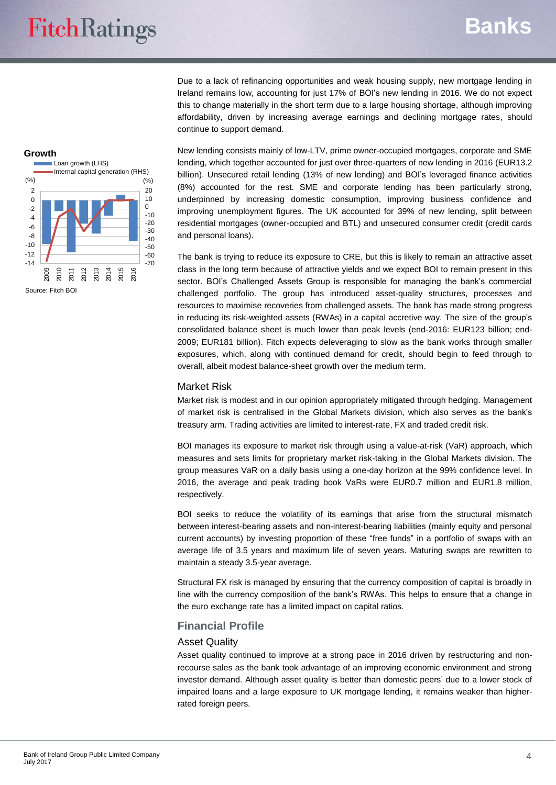Due to a lack of refinancing opportunities and weak housing supply, new mortgage lending in Ireland remains low, accounting for just 17% of BOI's new lending in 2016. We do not expect this to change materially in the short term due to a large housing shortage, although improving affordability, driven by increasing average earnings and declining mortgage rates, should continue to support demand.

New lending consists mainly of low-LTV, prime owner-occupied mortgages, corporate and SME lending, which together accounted for just over three-quarters of new lending in 2016 (EUR13.2 billion). Unsecured retail lending (13% of new lending) and BOI's leveraged finance activities (8%) accounted for the rest. SME and corporate lending has been particularly strong, underpinned by increasing domestic consumption, improving business confidence and improving unemployment figures. The UK accounted for 39% of new lending, split between residential mortgages (owner-occupied and BTL) and unsecured consumer credit (credit cards and personal loans).

The bank is trying to reduce its exposure to CRE, but this is likely to remain an attractive asset class in the long term because of attractive yields and we expect BOI to remain present in this sector. BOI's Challenged Assets Group is responsible for managing the bank's commercial challenged portfolio. The group has introduced asset-quality structures, processes and resources to maximise recoveries from challenged assets. The bank has made strong progress in reducing its risk-weighted assets (RWAs) in a capital accretive way. The size of the group's consolidated balance sheet is much lower than peak levels (end-2016: EUR123 billion; end-2009; EUR181 billion). Fitch expects deleveraging to slow as the bank works through smaller exposures, which, along with continued demand for credit, should begin to feed through to overall, albeit modest balance-sheet growth over the medium term.

#### Market Risk

Market risk is modest and in our opinion appropriately mitigated through hedging. Management of market risk is centralised in the Global Markets division, which also serves as the bank's treasury arm. Trading activities are limited to interest-rate, FX and traded credit risk.

BOI manages its exposure to market risk through using a value-at-risk (VaR) approach, which measures and sets limits for proprietary market risk-taking in the Global Markets division. The group measures VaR on a daily basis using a one-day horizon at the 99% confidence level. In 2016, the average and peak trading book VaRs were EUR0.7 million and EUR1.8 million, respectively.

BOI seeks to reduce the volatility of its earnings that arise from the structural mismatch between interest-bearing assets and non-interest-bearing liabilities (mainly equity and personal current accounts) by investing proportion of these "free funds" in a portfolio of swaps with an average life of 3.5 years and maximum life of seven years. Maturing swaps are rewritten to maintain a steady 3.5-year average.

Structural FX risk is managed by ensuring that the currency composition of capital is broadly in line with the currency composition of the bank's RWAs. This helps to ensure that a change in the euro exchange rate has a limited impact on capital ratios.

## **Financial Profile**

#### Asset Quality

Asset quality continued to improve at a strong pace in 2016 driven by restructuring and nonrecourse sales as the bank took advantage of an improving economic environment and strong investor demand. Although asset quality is better than domestic peers' due to a lower stock of impaired loans and a large exposure to UK mortgage lending, it remains weaker than higherrated foreign peers.

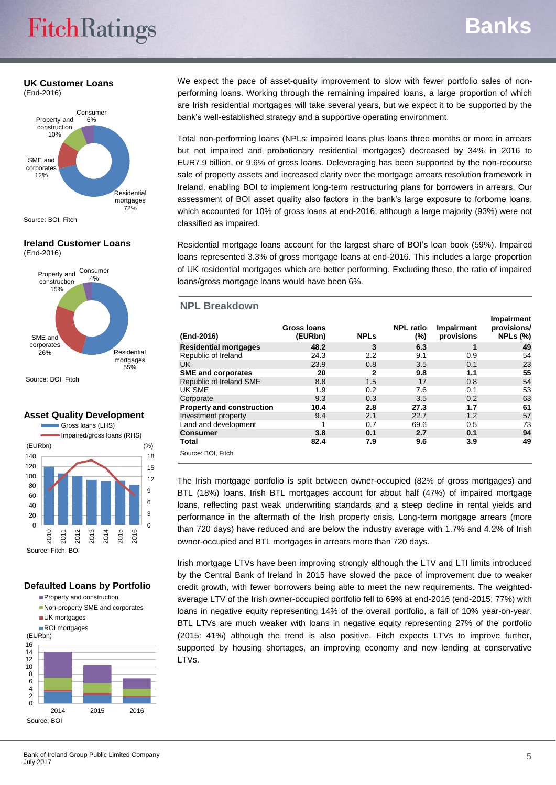## **UK Customer Loans**

(End-2016)



Source: BOI, Fitch

## **Ireland Customer Loans**

(End-2016)



Source: BOI, Fitch

#### **Asset Quality Development**



#### **Defaulted Loans by Portfolio**



We expect the pace of asset-quality improvement to slow with fewer portfolio sales of nonperforming loans. Working through the remaining impaired loans, a large proportion of which are Irish residential mortgages will take several years, but we expect it to be supported by the bank's well-established strategy and a supportive operating environment.

Total non-performing loans (NPLs; impaired loans plus loans three months or more in arrears but not impaired and probationary residential mortgages) decreased by 34% in 2016 to EUR7.9 billion, or 9.6% of gross loans. Deleveraging has been supported by the non-recourse sale of property assets and increased clarity over the mortgage arrears resolution framework in Ireland, enabling BOI to implement long-term restructuring plans for borrowers in arrears. Our assessment of BOI asset quality also factors in the bank's large exposure to forborne loans, which accounted for 10% of gross loans at end-2016, although a large majority (93%) were not classified as impaired.

Residential mortgage loans account for the largest share of BOI's loan book (59%). Impaired loans represented 3.3% of gross mortgage loans at end-2016. This includes a large proportion of UK residential mortgages which are better performing. Excluding these, the ratio of impaired loans/gross mortgage loans would have been 6%.

### **NPL Breakdown**

| (End-2016)                       | Gross Ioans<br>(EURbn) | <b>NPLs</b> | <b>NPL ratio</b><br>$(\%)$ | <b>Impairment</b><br>provisions | Impairment<br>provisions/<br><b>NPLs (%)</b> |
|----------------------------------|------------------------|-------------|----------------------------|---------------------------------|----------------------------------------------|
| <b>Residential mortgages</b>     | 48.2                   | 3           | 6.3                        | 1                               | 49                                           |
| Republic of Ireland              | 24.3                   | 2.2         | 9.1                        | 0.9                             | 54                                           |
| UK                               | 23.9                   | 0.8         | 3.5                        | 0.1                             | 23                                           |
| <b>SME and corporates</b>        | 20                     | 2           | 9.8                        | 1.1                             | 55                                           |
| Republic of Ireland SME          | 8.8                    | 1.5         | 17                         | 0.8                             | 54                                           |
| UK SME                           | 1.9                    | 0.2         | 7.6                        | 0.1                             | 53                                           |
| Corporate                        | 9.3                    | 0.3         | 3.5                        | 0.2                             | 63                                           |
| <b>Property and construction</b> | 10.4                   | 2.8         | 27.3                       | 1.7                             | 61                                           |
| Investment property              | 9.4                    | 2.1         | 22.7                       | 1.2                             | 57                                           |
| Land and development             |                        | 0.7         | 69.6                       | 0.5                             | 73                                           |
| <b>Consumer</b>                  | 3.8                    | 0.1         | 2.7                        | 0.1                             | 94                                           |
| Total                            | 82.4                   | 7.9         | 9.6                        | 3.9                             | 49                                           |
| Source: BOI, Fitch               |                        |             |                            |                                 |                                              |

The Irish mortgage portfolio is split between owner-occupied (82% of gross mortgages) and BTL (18%) loans. Irish BTL mortgages account for about half (47%) of impaired mortgage loans, reflecting past weak underwriting standards and a steep decline in rental yields and performance in the aftermath of the Irish property crisis. Long-term mortgage arrears (more than 720 days) have reduced and are below the industry average with 1.7% and 4.2% of Irish owner-occupied and BTL mortgages in arrears more than 720 days.

Irish mortgage LTVs have been improving strongly although the LTV and LTI limits introduced by the Central Bank of Ireland in 2015 have slowed the pace of improvement due to weaker credit growth, with fewer borrowers being able to meet the new requirements. The weightedaverage LTV of the Irish owner-occupied portfolio fell to 69% at end-2016 (end-2015: 77%) with loans in negative equity representing 14% of the overall portfolio, a fall of 10% year-on-year. BTL LTVs are much weaker with loans in negative equity representing 27% of the portfolio (2015: 41%) although the trend is also positive. Fitch expects LTVs to improve further, supported by housing shortages, an improving economy and new lending at conservative LTVs.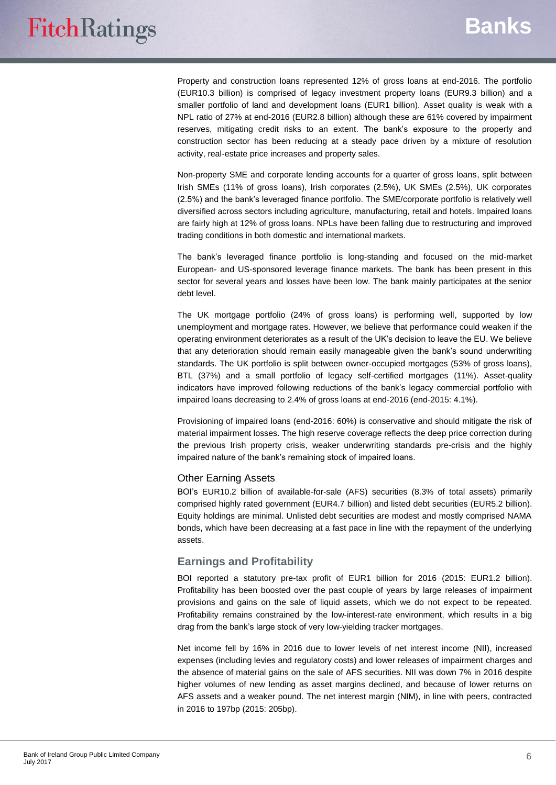Property and construction loans represented 12% of gross loans at end-2016. The portfolio (EUR10.3 billion) is comprised of legacy investment property loans (EUR9.3 billion) and a smaller portfolio of land and development loans (EUR1 billion). Asset quality is weak with a NPL ratio of 27% at end-2016 (EUR2.8 billion) although these are 61% covered by impairment reserves, mitigating credit risks to an extent. The bank's exposure to the property and construction sector has been reducing at a steady pace driven by a mixture of resolution activity, real-estate price increases and property sales.

Non-property SME and corporate lending accounts for a quarter of gross loans, split between Irish SMEs (11% of gross loans), Irish corporates (2.5%), UK SMEs (2.5%), UK corporates (2.5%) and the bank's leveraged finance portfolio. The SME/corporate portfolio is relatively well diversified across sectors including agriculture, manufacturing, retail and hotels. Impaired loans are fairly high at 12% of gross loans. NPLs have been falling due to restructuring and improved trading conditions in both domestic and international markets.

The bank's leveraged finance portfolio is long-standing and focused on the mid-market European- and US-sponsored leverage finance markets. The bank has been present in this sector for several years and losses have been low. The bank mainly participates at the senior debt level.

The UK mortgage portfolio (24% of gross loans) is performing well, supported by low unemployment and mortgage rates. However, we believe that performance could weaken if the operating environment deteriorates as a result of the UK's decision to leave the EU. We believe that any deterioration should remain easily manageable given the bank's sound underwriting standards. The UK portfolio is split between owner-occupied mortgages (53% of gross loans), BTL (37%) and a small portfolio of legacy self-certified mortgages (11%). Asset-quality indicators have improved following reductions of the bank's legacy commercial portfolio with impaired loans decreasing to 2.4% of gross loans at end-2016 (end-2015: 4.1%).

Provisioning of impaired loans (end-2016: 60%) is conservative and should mitigate the risk of material impairment losses. The high reserve coverage reflects the deep price correction during the previous Irish property crisis, weaker underwriting standards pre-crisis and the highly impaired nature of the bank's remaining stock of impaired loans.

#### Other Earning Assets

BOI's EUR10.2 billion of available-for-sale (AFS) securities (8.3% of total assets) primarily comprised highly rated government (EUR4.7 billion) and listed debt securities (EUR5.2 billion). Equity holdings are minimal. Unlisted debt securities are modest and mostly comprised NAMA bonds, which have been decreasing at a fast pace in line with the repayment of the underlying assets.

## **Earnings and Profitability**

BOI reported a statutory pre-tax profit of EUR1 billion for 2016 (2015: EUR1.2 billion). Profitability has been boosted over the past couple of years by large releases of impairment provisions and gains on the sale of liquid assets, which we do not expect to be repeated. Profitability remains constrained by the low-interest-rate environment, which results in a big drag from the bank's large stock of very low-yielding tracker mortgages.

Net income fell by 16% in 2016 due to lower levels of net interest income (NII), increased expenses (including levies and regulatory costs) and lower releases of impairment charges and the absence of material gains on the sale of AFS securities. NII was down 7% in 2016 despite higher volumes of new lending as asset margins declined, and because of lower returns on AFS assets and a weaker pound. The net interest margin (NIM), in line with peers, contracted in 2016 to 197bp (2015: 205bp).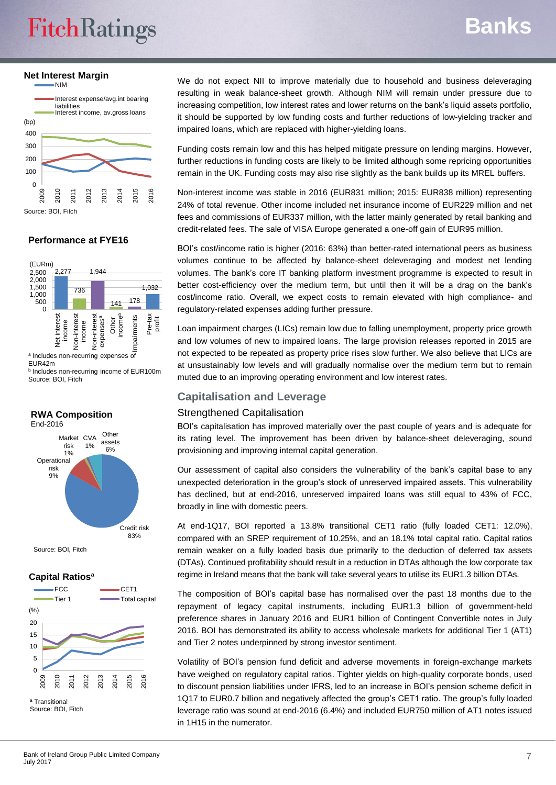# **FitchRatings**

## **Banks**

**Net Interest Margin**



## **Performance at FYE16**



a Includes non-recurring expenses of EUR42m

**b** Includes non-recurring income of EUR100m Source: BOI, Fitch

### **RWA Composition** End-2016



Source: BOI, Fitch

## **Capital Ratiosª**



We do not expect NII to improve materially due to household and business deleveraging resulting in weak balance-sheet growth. Although NIM will remain under pressure due to increasing competition, low interest rates and lower returns on the bank's liquid assets portfolio, it should be supported by low funding costs and further reductions of low-yielding tracker and impaired loans, which are replaced with higher-yielding loans.

Funding costs remain low and this has helped mitigate pressure on lending margins. However, further reductions in funding costs are likely to be limited although some repricing opportunities remain in the UK. Funding costs may also rise slightly as the bank builds up its MREL buffers.

Non-interest income was stable in 2016 (EUR831 million; 2015: EUR838 million) representing 24% of total revenue. Other income included net insurance income of EUR229 million and net fees and commissions of EUR337 million, with the latter mainly generated by retail banking and credit-related fees. The sale of VISA Europe generated a one-off gain of EUR95 million.

BOI's cost/income ratio is higher (2016: 63%) than better-rated international peers as business volumes continue to be affected by balance-sheet deleveraging and modest net lending volumes. The bank's core IT banking platform investment programme is expected to result in better cost-efficiency over the medium term, but until then it will be a drag on the bank's cost/income ratio. Overall, we expect costs to remain elevated with high compliance- and regulatory-related expenses adding further pressure.

Loan impairment charges (LICs) remain low due to falling unemployment, property price growth and low volumes of new to impaired loans. The large provision releases reported in 2015 are not expected to be repeated as property price rises slow further. We also believe that LICs are at unsustainably low levels and will gradually normalise over the medium term but to remain muted due to an improving operating environment and low interest rates.

## **Capitalisation and Leverage**

## Strengthened Capitalisation

BOI's capitalisation has improved materially over the past couple of years and is adequate for its rating level. The improvement has been driven by balance-sheet deleveraging, sound provisioning and improving internal capital generation.

Our assessment of capital also considers the vulnerability of the bank's capital base to any unexpected deterioration in the group's stock of unreserved impaired assets. This vulnerability has declined, but at end-2016, unreserved impaired loans was still equal to 43% of FCC, broadly in line with domestic peers.

At end-1Q17, BOI reported a 13.8% transitional CET1 ratio (fully loaded CET1: 12.0%), compared with an SREP requirement of 10.25%, and an 18.1% total capital ratio. Capital ratios remain weaker on a fully loaded basis due primarily to the deduction of deferred tax assets (DTAs). Continued profitability should result in a reduction in DTAs although the low corporate tax regime in Ireland means that the bank will take several years to utilise its EUR1.3 billion DTAs.

The composition of BOI's capital base has normalised over the past 18 months due to the repayment of legacy capital instruments, including EUR1.3 billion of government-held preference shares in January 2016 and EUR1 billion of Contingent Convertible notes in July 2016. BOI has demonstrated its ability to access wholesale markets for additional Tier 1 (AT1) and Tier 2 notes underpinned by strong investor sentiment.

Volatility of BOI's pension fund deficit and adverse movements in foreign-exchange markets have weighed on regulatory capital ratios. Tighter yields on high-quality corporate bonds, used to discount pension liabilities under IFRS, led to an increase in BOI's pension scheme deficit in 1Q17 to EUR0.7 billion and negatively affected the group's CET1 ratio. The group's fully loaded leverage ratio was sound at end-2016 (6.4%) and included EUR750 million of AT1 notes issued in 1H15 in the numerator.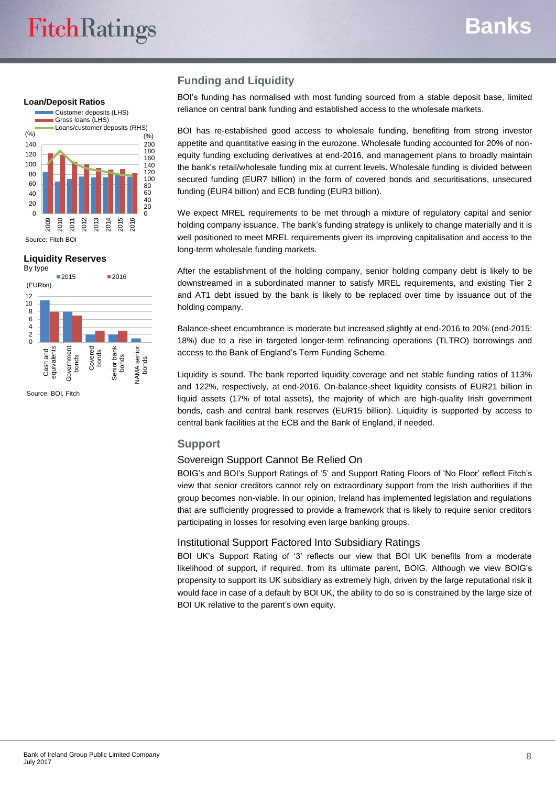#### **Loan/Deposit Ratios**



#### **Liquidity Reserves**



Source: BOI, Fitch

## **Funding and Liquidity**

BOI's funding has normalised with most funding sourced from a stable deposit base, limited reliance on central bank funding and established access to the wholesale markets.

BOI has re-established good access to wholesale funding, benefiting from strong investor appetite and quantitative easing in the eurozone. Wholesale funding accounted for 20% of nonequity funding excluding derivatives at end-2016, and management plans to broadly maintain the bank's retail/wholesale funding mix at current levels. Wholesale funding is divided between secured funding (EUR7 billion) in the form of covered bonds and securitisations, unsecured funding (EUR4 billion) and ECB funding (EUR3 billion).

We expect MREL requirements to be met through a mixture of regulatory capital and senior holding company issuance. The bank's funding strategy is unlikely to change materially and it is well positioned to meet MREL requirements given its improving capitalisation and access to the long-term wholesale funding markets.

After the establishment of the holding company, senior holding company debt is likely to be downstreamed in a subordinated manner to satisfy MREL requirements, and existing Tier 2 and AT1 debt issued by the bank is likely to be replaced over time by issuance out of the holding company.

Balance-sheet encumbrance is moderate but increased slightly at end-2016 to 20% (end-2015: 18%) due to a rise in targeted longer-term refinancing operations (TLTRO) borrowings and access to the Bank of England's Term Funding Scheme.

Liquidity is sound. The bank reported liquidity coverage and net stable funding ratios of 113% and 122%, respectively, at end-2016. On-balance-sheet liquidity consists of EUR21 billion in liquid assets (17% of total assets), the majority of which are high-quality Irish government bonds, cash and central bank reserves (EUR15 billion). Liquidity is supported by access to central bank facilities at the ECB and the Bank of England, if needed.

## **Support**

## Sovereign Support Cannot Be Relied On

BOIG's and BOI's Support Ratings of '5' and Support Rating Floors of 'No Floor' reflect Fitch's view that senior creditors cannot rely on extraordinary support from the Irish authorities if the group becomes non-viable. In our opinion, Ireland has implemented legislation and regulations that are sufficiently progressed to provide a framework that is likely to require senior creditors participating in losses for resolving even large banking groups.

## Institutional Support Factored Into Subsidiary Ratings

BOI UK's Support Rating of '3' reflects our view that BOI UK benefits from a moderate likelihood of support, if required, from its ultimate parent, BOIG. Although we view BOIG's propensity to support its UK subsidiary as extremely high, driven by the large reputational risk it would face in case of a default by BOI UK, the ability to do so is constrained by the large size of BOI UK relative to the parent's own equity.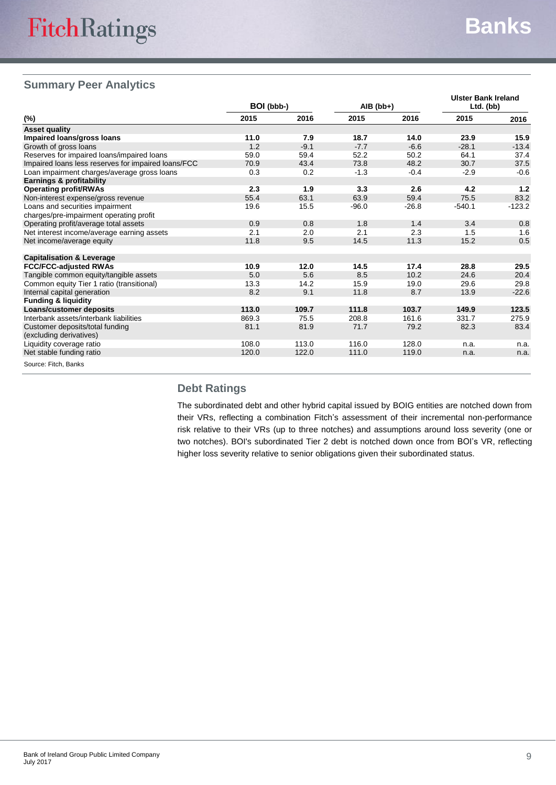## **Summary Peer Analytics**

|                                                     | BOI (bbb-) |        | $AIB$ (bb+) |         | <b>Ulster Bank Ireland</b><br>Ltd. (bb) |          |  |
|-----------------------------------------------------|------------|--------|-------------|---------|-----------------------------------------|----------|--|
| (%)                                                 | 2015       | 2016   | 2015        | 2016    | 2015                                    | 2016     |  |
| <b>Asset quality</b>                                |            |        |             |         |                                         |          |  |
| Impaired loans/gross loans                          | 11.0       | 7.9    | 18.7        | 14.0    | 23.9                                    | 15.9     |  |
| Growth of gross loans                               | 1.2        | $-9.1$ | $-7.7$      | $-6.6$  | $-28.1$                                 | $-13.4$  |  |
| Reserves for impaired loans/impaired loans          | 59.0       | 59.4   | 52.2        | 50.2    | 64.1                                    | 37.4     |  |
| Impaired loans less reserves for impaired loans/FCC | 70.9       | 43.4   | 73.8        | 48.2    | 30.7                                    | 37.5     |  |
| Loan impairment charges/average gross loans         | 0.3        | 0.2    | $-1.3$      | $-0.4$  | $-2.9$                                  | $-0.6$   |  |
| Earnings & profitability                            |            |        |             |         |                                         |          |  |
| <b>Operating profit/RWAs</b>                        | 2.3        | 1.9    | 3.3         | 2.6     | 4.2                                     | $1.2$    |  |
| Non-interest expense/gross revenue                  | 55.4       | 63.1   | 63.9        | 59.4    | 75.5                                    | 83.2     |  |
| Loans and securities impairment                     | 19.6       | 15.5   | $-96.0$     | $-26.8$ | $-540.1$                                | $-123.2$ |  |
| charges/pre-impairment operating profit             |            |        |             |         |                                         |          |  |
| Operating profit/average total assets               | 0.9        | 0.8    | 1.8         | 1.4     | 3.4                                     | 0.8      |  |
| Net interest income/average earning assets          | 2.1        | 2.0    | 2.1         | 2.3     | 1.5                                     | 1.6      |  |
| Net income/average equity                           | 11.8       | 9.5    | 14.5        | 11.3    | 15.2                                    | 0.5      |  |
|                                                     |            |        |             |         |                                         |          |  |
| <b>Capitalisation &amp; Leverage</b>                |            |        |             |         |                                         |          |  |
| <b>FCC/FCC-adjusted RWAs</b>                        | 10.9       | 12.0   | 14.5        | 17.4    | 28.8                                    | 29.5     |  |
| Tangible common equity/tangible assets              | 5.0        | 5.6    | 8.5         | 10.2    | 24.6                                    | 20.4     |  |
| Common equity Tier 1 ratio (transitional)           | 13.3       | 14.2   | 15.9        | 19.0    | 29.6                                    | 29.8     |  |
| Internal capital generation                         | 8.2        | 9.1    | 11.8        | 8.7     | 13.9                                    | $-22.6$  |  |
| <b>Funding &amp; liquidity</b>                      |            |        |             |         |                                         |          |  |
| <b>Loans/customer deposits</b>                      | 113.0      | 109.7  | 111.8       | 103.7   | 149.9                                   | 123.5    |  |
| Interbank assets/interbank liabilities              | 869.3      | 75.5   | 208.8       | 161.6   | 331.7                                   | 275.9    |  |
| Customer deposits/total funding                     | 81.1       | 81.9   | 71.7        | 79.2    | 82.3                                    | 83.4     |  |
| (excluding derivatives)                             |            |        |             |         |                                         |          |  |
| Liquidity coverage ratio                            | 108.0      | 113.0  | 116.0       | 128.0   | n.a.                                    | n.a.     |  |
| Net stable funding ratio                            | 120.0      | 122.0  | 111.0       | 119.0   | n.a.                                    | n.a.     |  |
| Source: Fitch, Banks                                |            |        |             |         |                                         |          |  |

## **Debt Ratings**

The subordinated debt and other hybrid capital issued by BOIG entities are notched down from their VRs, reflecting a combination Fitch's assessment of their incremental non-performance risk relative to their VRs (up to three notches) and assumptions around loss severity (one or two notches). BOI's subordinated Tier 2 debt is notched down once from BOI's VR, reflecting higher loss severity relative to senior obligations given their subordinated status.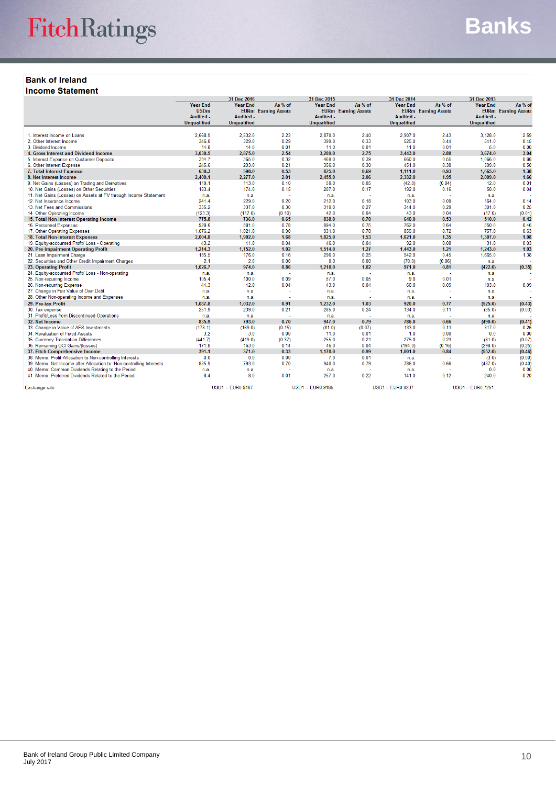## **Bank of Ireland**

**Income Statement** 

|                                                                    |                                                                          |                                                           | 31 Dec 2016<br>31 Dec 2015            |                                                    |                                       | <b>31 Dec 2014</b>                                 |                                       | 31 Dec 2013                                               |                                       |
|--------------------------------------------------------------------|--------------------------------------------------------------------------|-----------------------------------------------------------|---------------------------------------|----------------------------------------------------|---------------------------------------|----------------------------------------------------|---------------------------------------|-----------------------------------------------------------|---------------------------------------|
|                                                                    | <b>Year End</b><br><b>USDm</b><br><b>Audited -</b><br><b>Unqualified</b> | <b>Year End</b><br><b>Audited -</b><br><b>Unqualified</b> | As % of<br><b>EURm</b> Earning Assets | <b>Year End</b><br>Audited -<br><b>Unqualified</b> | As % of<br><b>EURm</b> Earning Assets | <b>Year End</b><br>Audited -<br><b>Unqualified</b> | As % of<br><b>EURm</b> Earning Assets | <b>Year End</b><br><b>Audited -</b><br><b>Unqualified</b> | As % of<br><b>EURm</b> Earning Assets |
|                                                                    |                                                                          |                                                           | 2.23                                  |                                                    |                                       | 2,907.0                                            |                                       | 3,128.0                                                   | 2.59                                  |
| 1. Interest Income on Loans                                        | 2,668.9<br>346.8                                                         | 2,532.0<br>329.0                                          | 0.29                                  | 2,870.0<br>399.0                                   | 2.40<br>0.33                          | 525.0                                              | 2.43<br>0.44                          | 541.0                                                     | 0.45                                  |
| 2. Other Interest Income<br>3. Dividend Income                     | 14.8                                                                     | 14.0                                                      | 0.01                                  | 11.0                                               | 0.01                                  | 11.0                                               | 0.01                                  | 5.0                                                       | 0.00                                  |
| 4. Gross Interest and Dividend Income                              | 3,030.5                                                                  | 2,875.0                                                   | 2.54                                  | 3,280.0                                            | 2.75                                  | 3,443.0                                            | 2.88                                  | 3,674.0                                                   | 3.04                                  |
| 5. Interest Expense on Customer Deposits                           | 384.7                                                                    | 365.0                                                     | 0.32                                  | 469.0                                              | 0.39                                  | 660.0                                              | 0.55                                  | 1.066.0                                                   | 0.88                                  |
| 6. Other Interest Expense                                          | 245.6                                                                    | 233.0                                                     | 0.21                                  | 356.0                                              | 0.30                                  | 451.0                                              | 0.38                                  | 599.0                                                     | 0.50                                  |
| 7. Total Interest Expense                                          | 630.3                                                                    | 598.0                                                     | 0.53                                  | 825.0                                              | 0.69                                  | 1,111.0                                            | 0.93                                  | 1,665.0                                                   | 1.38                                  |
| 8. Net Interest Income                                             | 2.400.1                                                                  | 2.277.0                                                   | 2.01                                  | 2.455.0                                            | 2.06                                  | 2.332.0                                            | 1.95                                  | 2.009.0                                                   | 1.66                                  |
| 9. Net Gains (Losses) on Trading and Derivatives                   | 119.1                                                                    | 113.0                                                     | 0.10                                  | 58.0                                               | 0.05                                  | (42.0)                                             | (0.04)                                | 12.0                                                      | 0.01                                  |
| 10. Net Gains (Losses) on Other Securities                         | 183.4                                                                    | 174.0                                                     | 0.15                                  | 207.0                                              | 0.17                                  | 192.0                                              | 0.16                                  | 50.0                                                      | 0.04                                  |
| 11. Net Gains (Losses) on Assets at FV through Income Statement    | n.a.                                                                     | n.a.                                                      |                                       | n.a.                                               |                                       | n.a.                                               |                                       | n.a.                                                      |                                       |
| 12. Net Insurance Income                                           | 241.4                                                                    | 229.0                                                     | 0.20                                  | 212.0                                              | 0.18                                  | 103.0                                              | 0.09                                  | 164.0                                                     | 0.14                                  |
| 13. Net Fees and Commissions                                       | 355.2                                                                    | 337.0                                                     | 0.30                                  | 319.0                                              | 0.27                                  | 344.0                                              | 0.29                                  | 301.0                                                     | 0.25                                  |
| 14. Other Operating Income                                         | (123.3)                                                                  | (117.0)                                                   | (0.10)                                | 42.0                                               | 0.04                                  | 43.0                                               | 0.04                                  | (17.0)                                                    | (0.01)                                |
| 15. Total Non-Interest Operating Income                            | 775.8                                                                    | 736.0                                                     | 0.65                                  | 838.0                                              | 0.70                                  | 640.0                                              | 0.53                                  | 510.0                                                     | 0.42                                  |
| 16. Personnel Expenses                                             | 928.6                                                                    | 881.0                                                     | 0.78                                  | 894.0                                              | 0.75                                  | 762.0                                              | 0.64                                  | 550.0                                                     | 0.46                                  |
| 17. Other Operating Expenses                                       | 1.076.2                                                                  | 1,021.0                                                   | 0.90                                  | 931.0                                              | 0.78                                  | 859.0                                              | 0.72                                  | 757.0                                                     | 0.63                                  |
| 18. Total Non-Interest Expenses                                    | 2,004.8                                                                  | 1,902.0                                                   | 1.68                                  | 1,825.0                                            | 1.53                                  | 1,621.0                                            | 1.35                                  | 1,307.0                                                   | 1.08                                  |
| 19. Equity-accounted Profit/ Loss - Operating                      | 43.2                                                                     | 41.0                                                      | 0.04                                  | 46.0                                               | 0.04                                  | 92.0                                               | 0.08                                  | 31.0                                                      | 0.03                                  |
| 20. Pre-Impairment Operating Profit                                | 1,214.3                                                                  | 1,152.0                                                   | 1.02                                  | 1,514.0                                            | 1.27                                  | 1,443.0                                            | 1.21                                  | 1,243.0                                                   | 1.03                                  |
| 21. Loan Impairment Charge                                         | 185.5                                                                    | 176.0                                                     | 0.16                                  | 296.0                                              | 0.25                                  | 542.0                                              | 0.45                                  | 1,665.0                                                   | 1.38                                  |
| 22. Securities and Other Credit Impairment Charges                 | 2.1                                                                      | 2.0                                                       | 0.00                                  | 0.0                                                | 0.00                                  | (70.0)                                             | (0.06)                                | n.a.                                                      |                                       |
| 23. Operating Profit                                               | 1.026.7                                                                  | 974.0                                                     | 0.86                                  | 1.218.0                                            | 1.02                                  | 971.0                                              | 0.81                                  | (422.0)                                                   | (0.35)                                |
| 24. Equity-accounted Profit/ Loss - Non-operating                  | n.a.                                                                     | n.a.                                                      | ÷                                     | n.a.                                               | $\sim$                                | n.a.                                               | ÷                                     | n.a.                                                      |                                       |
| 25. Non-recurring Income                                           | 105.4                                                                    | 100.0                                                     | 0.09                                  | 57.0                                               | 0.05                                  | 9.0                                                | 0.01                                  | n.a.                                                      | 0.09                                  |
| 26. Non-recurring Expense<br>27. Change in Fair Value of Own Debt  | 44.3                                                                     | 42.0                                                      | 0.04                                  | 43.0                                               | 0.04<br>з.                            | 60.0                                               | 0.05<br>i.                            | 103.0                                                     |                                       |
|                                                                    | n.a.                                                                     | n.a.                                                      | - 1                                   | n.a.                                               | -                                     | n.a.                                               | $\sim$                                | n.a.                                                      |                                       |
| 28. Other Non-operating Income and Expenses                        | n.a.                                                                     | n.a.                                                      |                                       | n.a.                                               |                                       | n.a.                                               |                                       | n.a.                                                      |                                       |
| 29. Pre-tax Profit                                                 | 1,087.8<br>251.9                                                         | 1,032.0<br>239.0                                          | 0.91<br>0.21                          | 1,232.0<br>285.0                                   | 1.03<br>0.24                          | 920.0<br>134.0                                     | 0.77<br>0.11                          | (525.0)                                                   | (0.43)                                |
| 30. Tax expense                                                    |                                                                          |                                                           | ÷                                     |                                                    | ÷                                     |                                                    |                                       | (35.0)                                                    | (0.03)                                |
| 31. Profit/Loss from Discontinued Operations<br>32. Net Income     | n.a.<br>835.9                                                            | n.a.<br>793.0                                             | 0.70                                  | n.a.<br>947.0                                      | 0.79                                  | n.a.<br>786.0                                      | $\sim$<br>0.66                        | n.a.<br>(490.0)                                           | (0.41)                                |
| 33. Change in Value of AFS Investments                             | (178.1)                                                                  | (169.0)                                                   | (0.15)                                | (81.0)                                             | (0.07)                                | 133.0                                              | 0.11                                  | 317.0                                                     | 0.26                                  |
| 34. Revaluation of Fixed Assets                                    | 3.2                                                                      | 3.0                                                       | 0.00                                  | 11.0                                               | 0.01                                  | 1.0                                                | 0.00                                  | 0.0                                                       | 0.00                                  |
| 35. Currency Translation Differences                               | (441.7)                                                                  | (419.0)                                                   | (0.37)                                | 255.0                                              | 0.21                                  | 275.0                                              | 0.23                                  | (81.0)                                                    | (0.07)                                |
| 36. Remaining OCI Gains/(losses)                                   | 171.8                                                                    | 163.0                                                     | 0.14                                  | 46.0                                               | 0.04                                  | (194.0)                                            | (0.16)                                | (298.0)                                                   | (0.25)                                |
| 37. Fitch Comprehensive Income                                     | 391.1                                                                    | 371.0                                                     | 0.33                                  | 1,178.0                                            | 0.99                                  | 1,001.0                                            | 0.84                                  | (552.0)                                                   | (0.46)                                |
| 38. Memo: Profit Allocation to Non-controlling Interests           | 0.0                                                                      | 0.0                                                       | 0.00                                  | 7.0                                                | 0.01                                  | n.a.                                               | $\sim$                                | (3.0)                                                     | (0.00)                                |
| 39. Memo: Net Income after Allocation to Non-controlling Interests | 835.9                                                                    | 793.0                                                     | 0.70                                  | 940.0                                              | 0.79                                  | 786.0                                              | 0.66                                  | (487.0)                                                   | (0.40)                                |
| 40. Memo: Common Dividends Relating to the Period                  | n.a.                                                                     | n.a.                                                      |                                       | n.a.                                               | ÷                                     | n.a.                                               | ٠                                     | 0.0                                                       | 0.00                                  |
| 41. Memo: Preferred Dividends Related to the Period                | 8.4                                                                      | 8.0                                                       | 0.01                                  | 257.0                                              | 0.22                                  | 141.0                                              | 0.12                                  | 240.0                                                     | 0.20                                  |
|                                                                    |                                                                          | $11004 - 010000407$                                       |                                       | $11004 - 010000405$                                |                                       | $11004 - 01100002$                                 |                                       | $11004 - 1100.7054$                                       |                                       |

Exchange rate

USD1 = EUR0.9487

 $USD1 = EUR0.9185$ 

 $USD1 = EUR0.8237$ 

 $USD1 = EUR0.7251$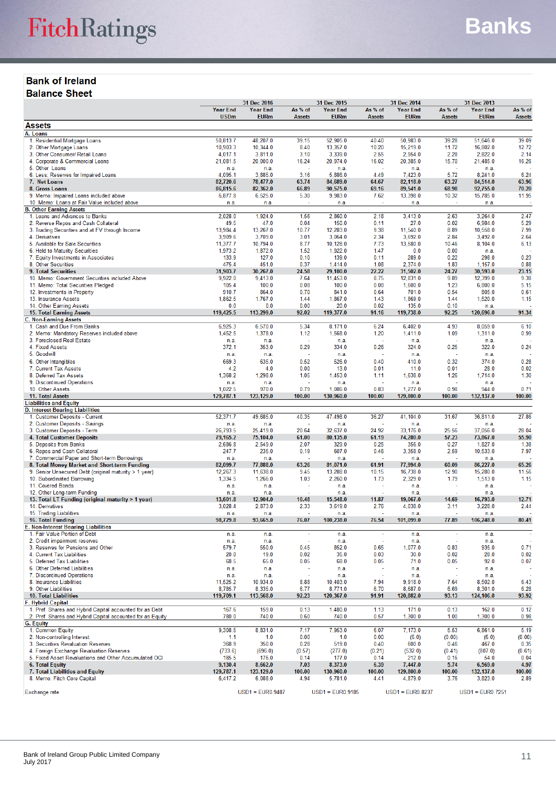## **Bank of Ireland Balance Sheet**

|                                                                                  |                      | 31 Dec 2016          |                          | 31 Dec 2015          |                | 31 Dec 2014          |                          | 31 Dec 2013          |                |
|----------------------------------------------------------------------------------|----------------------|----------------------|--------------------------|----------------------|----------------|----------------------|--------------------------|----------------------|----------------|
|                                                                                  | <b>Year End</b>      | <b>Year End</b>      | As % of                  | <b>Year End</b>      | As % of        | <b>Year End</b>      | As % of                  | <b>Year End</b>      | As % of        |
|                                                                                  | <b>USDm</b>          | <b>EURm</b>          | <b>Assets</b>            | <b>EURm</b>          | <b>Assets</b>  | <b>EURm</b>          | <b>Assets</b>            | <b>EURm</b>          | <b>Assets</b>  |
| <b>Assets</b><br>A. Loans                                                        |                      |                      |                          |                      |                |                      |                          |                      |                |
| 1. Residential Mortgage Loans                                                    | 50.813.7             | 48.207.0             | 39.15                    | 52.905.0             | 40.40          | 50.983.0             | 39.28                    | 51.646.0             | 39.09          |
| 2. Other Mortgage Loans                                                          | 10,903.3             | 10,344.0             | 8.40                     | 13,357.0             | 10.20          | 15,219.0             | 11.72                    | 16,802.0             | 12.72          |
| 3. Other Consumer/ Retail Loans                                                  | 4,017.1              | 3,811.0              | 3.10                     | 3,339.0              | 2.55           | 2,954.0              | 2.28                     | 2,822.0              | 2.14           |
| 4. Corporate & Commercial Loans                                                  | 21.081.5             | 20,000.0             | 16.24                    | 20.974.0             | 16.02          | 20.385.0             | 15.70                    | 21,485.0             | 16.26          |
| 5. Other Loans<br>6. Less: Reserves for Impaired Loans                           | n.a.<br>4,095.1      | n.a.<br>3,885.0      | 3.16                     | n.a.<br>5,886.0      | ×,<br>4.49     | n.a.<br>7,423.0      | ÷.<br>5.72               | n.a.<br>8,241.0      | 6.24           |
| 7. Net Loans                                                                     | 82,720.6             | 78,477.0             | 63.74                    | 84,689.0             | 64.67          | 82,118.0             | 63.27                    | 84,514.0             | 63.96          |
| 8. Gross Loans                                                                   | 86,815.6             | 82,362.0             | 66.89                    | 90,575.0             | 69.16          | 89,541.0             | 68.98                    | 92,755.0             | 70.20          |
| 9. Memo: Impaired Loans included above                                           | 6,877.8              | 6,525.0              | 5.30                     | 9,983.0              | 7.62           | 13,398.0             | 10.32                    | 15,785.0             | 11.95          |
| 10. Memo: Loans at Fair Value included above                                     | n.a.                 | n.a.                 |                          | n.a.                 |                | n.a.                 |                          | n.a.                 |                |
| <b>B. Other Earning Assets</b><br>1. Loans and Advances to Banks                 | 2,028.0              | 1,924.0              | 1.56                     | 2,860.0              | 2.18           | 3,413.0              | 2.63                     | 3,264.0              | 2.47           |
| 2. Reverse Repos and Cash Collateral                                             | 49.5                 | 47.0                 | 0.04                     | 150.0                | 0.11           | 27.0                 | 0.02                     | 6,984.0              | 5.29           |
| 3. Trading Securities and at FV through Income                                   | 13,984.4             | 13,267.0             | 10.77                    | 12,283.0             | 9.38           | 11,540.0             | 8.89                     | 10,558.0             | 7.99           |
| 4. Derivatives                                                                   | 3,909.6              | 3,709.0              | 3.01                     | 3,064.0              | 2.34           | 3,692.0              | 2.84                     | 3,492.0              | 2.64           |
| 5. Available for Sale Securities                                                 | 11,377.7             | 10,794.0             | 8.77                     | 10,128.0             | 7.73           | 13,580.0             | 10.46                    | 8,104.0              | 6.13           |
| 6. Held to Maturity Securities                                                   | 1,973.2              | 1,872.0              | 1.52                     | 1,922.0              | 1.47           | 0.0                  | 0.00                     | n.a.                 | 0.23           |
| 7. Equity Investments in Associates<br>8. Other Securities                       | 133.9<br>475.4       | 127.0<br>451.0       | 0.10<br>0.37             | 139.0<br>1,414.0     | 0.11<br>1.08   | 289.0<br>2,374.0     | 0.22<br>1.83             | 298.0<br>1,157.0     | 0.88           |
| 9. Total Securities                                                              | 31,903.7             | 30,267.0             | 24.58                    | 29,100.0             | 22.22          | 31,502.0             | 24.27                    | 30,593.0             | 23.15          |
| 10. Memo: Government Securities included Above                                   | 9,922.0              | 9,413.0              | 7.64                     | 11,453.0             | 8.75           | 12,831.0             | 9.89                     | 12,399.0             | 9.38           |
| 11. Memo: Total Securities Pledged                                               | 105.4                | 100.0                | 0.08                     | 100.0                | 0.08           | 1,600.0              | 1.23                     | 6,800.0              | 5.15           |
| 12. Investments in Property                                                      | 910.7                | 864.0                | 0.70                     | 841.0                | 0.64           | 701.0                | 0.54                     | 805.0                | 0.61           |
| 13. Insurance Assets                                                             | 1,862.5              | 1,767.0              | 1.44                     | 1,867.0              | 1.43           | 1,869.0              | 1.44                     | 1,520.0              | 1.15           |
| 14. Other Earning Assets<br><b>15. Total Earning Assets</b>                      | 0.0<br>119,425.5     | 0.0<br>113,299.0     | 0.00<br>92.02            | 20.0<br>119,377.0    | 0.02<br>91.16  | 135.0<br>119,738.0   | 0.10<br>92.25            | n.a.<br>120,696.0    | 91.34          |
| <b>C. Non-Earning Assets</b>                                                     |                      |                      |                          |                      |                |                      |                          |                      |                |
| 1. Cash and Due From Banks                                                       | 6,925.3              | 6,570.0              | 5.34                     | 8,171.0              | 6.24           | 6,402.0              | 4.93                     | 8.059.0              | 6.10           |
| 2. Memo: Mandatory Reserves included above                                       | 1,452.5              | 1,378.0              | 1.12                     | 1,568.0              | 1.20           | 1,411.0              | 1.09                     | 1,311.0              | 0.99           |
| 3. Foreclosed Real Estate                                                        | n.a.                 | n.a.                 |                          | n.a.                 | ł,             | n.a.                 |                          | n.a.                 |                |
| 4. Fixed Assets                                                                  | 372.1                | 353.0                | 0.29                     | 334.0                | 0.26           | 324.0                | 0.25                     | 322.0                | 0.24           |
| 5. Goodwill<br>6. Other Intangibles                                              | n.a.<br>669.3        | n.a.<br>635.0        | 0.52                     | n.a.                 | 0.40           | n.a.<br>410.0        | 0.32                     | n.a.<br>374.0        | 0.28           |
| 7. Current Tax Assets                                                            | 4.2                  | 4.0                  | 0.00                     | 526.0<br>13.0        | 0.01           | 11.0                 | 0.01                     | 28.0                 | 0.02           |
| 8. Deferred Tax Assets                                                           | 1,368.2              | 1,298.0              | 1.05                     | 1,453.0              | 1.11           | 1,638.0              | 1.26                     | 1,714.0              | 1.30           |
| 9. Discontinued Operations                                                       | n.a.                 | n.a.                 |                          | n.a.                 |                | n.a.                 |                          | n.a.                 |                |
| 10. Other Assets                                                                 | 1.022.5              | 970.0                | 0.79                     | 1,086.0              | 0.83           | 1,277.0              | 0.98                     | 944.0                | 0.71           |
| 11. Total Assets                                                                 | 129,787.1            | 123,129.0            | 100.00                   | 130,960.0            | 100.00         | 129,800.0            | 100.00                   | 132,137.0            | 100.00         |
| <b>Liabilities and Equity</b><br>D. Interest-Bearing Liabilities                 |                      |                      |                          |                      |                |                      |                          |                      |                |
| 1. Customer Deposits - Current                                                   | 52,371.7             | 49,685.0             | 40.35                    | 47,498.0             | 36.27          | 41,104.0             | 31.67                    | 36,811.0             | 27.86          |
| 2. Customer Deposits - Savings                                                   | n.a.                 | n.a.                 |                          | n.a.                 | ÷              | n.a.                 | ×.                       | n.a.                 |                |
| 3. Customer Deposits - Term                                                      | 26,793.5             | 25,419.0             | 20.64                    | 32,637.0             | 24.92          | 33,176.0             | 25.56                    | 37,056.0             | 28.04          |
| <b>4. Total Customer Deposits</b>                                                | 79,165.2             | 75,104.0             | 61.00                    | 80,135.0             | 61.19          | 74,280.0             | 57.23                    | 73,867.0             | 55.90          |
| 5. Deposits from Banks<br>6. Repos and Cash Collateral                           | 2,686.8<br>247.7     | 2,549.0<br>235.0     | 2.07<br>0.19             | 329.0<br>607.0       | 0.25<br>0.46   | 356.0<br>3,358.0     | 0.27<br>2.59             | 1,827.0<br>10,533.0  | 1.38<br>7.97   |
| 7. Commercial Paper and Short-term Borrowings                                    | n.a.                 | n.a.                 |                          | n.a.                 | J.             | n.a.                 | ÷.                       | n.a.                 |                |
| 8. Total Money Market and Short-term Funding                                     | 82,099.7             | 77,888.0             | 63.26                    | 81,071.0             | 61.91          | 77.994.0             | 60.09                    | 86,227.0             | 65.26          |
| 9. Senior Unsecured Debt (original maturity > 1 year)                            | 12,267.3             | 11,638.0             | 9.45                     | 13,288.0             | 10.15          | 16,738.0             | 12.90                    | 15,280.0             | 11.56          |
| 10. Subordinated Borrowing                                                       | 1,334.5              | 1,266.0              | 1.03                     | 2,260.0              | 1.73           | 2,329.0              | 1.79                     | 1,513.0              | 1.15           |
| 11. Covered Bonds                                                                | n.a.                 | n.a.                 |                          | n.a.                 |                | n.a.                 |                          | n.a.                 |                |
| 12. Other Long-term Funding<br>13. Total LT Funding (original maturity > 1 year) | n.a.<br>13,601.8     | n.a.<br>12.904.0     | 10.48                    | n.a.<br>15.548.0     | 11.87          | n.a.<br>19,067.0     | 14.69                    | n.a.<br>16,793.0     | 12.71          |
| 14. Derivatives                                                                  | 3,028.4              | 2,873.0              | 2.33                     | 3,619.0              | 2.76           | 4,038.0              | 3.11                     | 3,228.0              | 2.44           |
| 15. Trading Liabilities                                                          | n.a.                 | n.a.                 |                          | n.a.                 |                | n.a.                 |                          | n.a.                 |                |
| <b>16. Total Funding</b>                                                         | 98,729.8             | 93,665.0             | 76.07                    | 100,238.0            | 76.54          | 101,099.0            | 77.89                    | 106,248.0            | 80.41          |
| <b>E. Non-Interest Bearing Liabilities</b>                                       |                      |                      |                          |                      |                |                      |                          |                      |                |
| 1. Fair Value Portion of Debt<br>2. Credit impairment reserves                   | n.a.<br>n.a.         | n.a.<br>n.a.         | $\overline{\phantom{a}}$ | n.a.<br>n.a.         | ×              | n.a.<br>n.a.         | $\overline{\phantom{a}}$ | n.a.<br>n.a.         |                |
| 3. Reserves for Pensions and Other                                               | 579.7                | 550.0                | 0.45                     | 852.0                | 0.65           | 1,077.0              | 0.83                     | 935.0                | 0.71           |
| 4. Current Tax Liabilities                                                       | 20.0                 | 19.0                 | 0.02                     | 35.0                 | 0.03           | 30.0                 | 0.02                     | 28.0                 | 0.02           |
| 5. Deferred Tax Liabilities                                                      | 68.5                 | 65.0                 | 0.05                     | 68.0                 | 0.05           | 71.0                 | 0.05                     | 92.0                 | 0.07           |
| 6. Other Deferred Liabilities                                                    | n.a.                 | n.a.                 |                          | n.a.                 |                | n.a.                 |                          | n.a.                 |                |
| 7. Discontinued Operations                                                       | n.a.                 | n.a.                 |                          | n.a.                 |                | n.a.                 |                          | n.a.                 |                |
| 8. Insurance Liabilities<br>9. Other Liabilities                                 | 11,525.2<br>8,785.7  | 10,934.0<br>8,335.0  | 8.88<br>6.77             | 10,403.0<br>8,771.0  | 7.94<br>6.70   | 9,918.0<br>8,687.0   | 7.64<br>6.69             | 8,502.0<br>8,301.0   | 6.43<br>6.28   |
| <b>10. Total Liabilities</b>                                                     | 119,709.1            | 113,568.0            | 92.23                    | 120,367.0            | 91.91          | 120,882.0            | 93.13                    | 124,106.0            | 93.92          |
| <b>F. Hybrid Capital</b>                                                         |                      |                      |                          |                      |                |                      |                          |                      |                |
| 1. Pref. Shares and Hybrid Capital accounted for as Debt                         | 167.6                | 159.0                | 0.13                     | 1,480.0              | 1.13           | 171.0                | 0.13                     | 162.0                | 0.12           |
| 2. Pref. Shares and Hybrid Capital accounted for as Equity                       | 780.0                | 740.0                | 0.60                     | 740.0                | 0.57           | 1,300.0              | 1.00                     | 1,300.0              | 0.98           |
| <b>G. Equity</b>                                                                 | 9,308.5              | 8,831.0              | 7.17                     | 7,953.0              | 6.07           | 7,173.0              | 5.53                     | 6,861.0              | 5.19           |
| 1. Common Equity<br>2. Non-controlling Interest                                  | 1.1                  | 1.0                  | 0.00                     | 1.0                  | 0.00           | (6.0)                | (0.00)                   | (6.0)                | (0.00)         |
| 3. Securities Revaluation Reserves                                               | 368.9                | 350.0                | 0.28                     | 519.0                | 0.40           | 600.0                | 0.46                     | 467.0                | 0.35           |
| 4. Foreign Exchange Revaluation Reserves                                         | (733.6)              | (696.0)              | (0.57)                   | (277.0)              | (0.21)         | (532.0)              | (0.41)                   | (807.0)              | (0.61)         |
| 5. Fixed Asset Revaluations and Other Accumulated OCI                            | 185.5                | 176.0                | 0.14                     | 177.0                | 0.14           | 212.0                | 0.16                     | 54.0                 | 0.04           |
| <b>6. Total Equity</b>                                                           | 9,130.4              | 8,662.0              | 7.03                     | 8,373.0              | 6.39           | 7,447.0              | 5.74                     | 6,569.0              | 4.97           |
| 7. Total Liabilities and Equity<br>8. Memo: Fitch Core Capital                   | 129,787.1<br>6,417.2 | 123,129.0<br>6,088.0 | 100.00<br>4.94           | 130,960.0<br>5,781.0 | 100.00<br>4.41 | 129,800.0<br>4,879.0 | 100.00<br>3.76           | 132,137.0<br>3,823.0 | 100.00<br>2.89 |
|                                                                                  |                      |                      |                          |                      |                |                      |                          |                      |                |
| Exchange rate                                                                    |                      | $USD1 = EUR0.9487$   |                          | $USD1 = EUR0.9185$   |                | $USD1 = EUR0.8237$   |                          | $USD1 = EUR0.7251$   |                |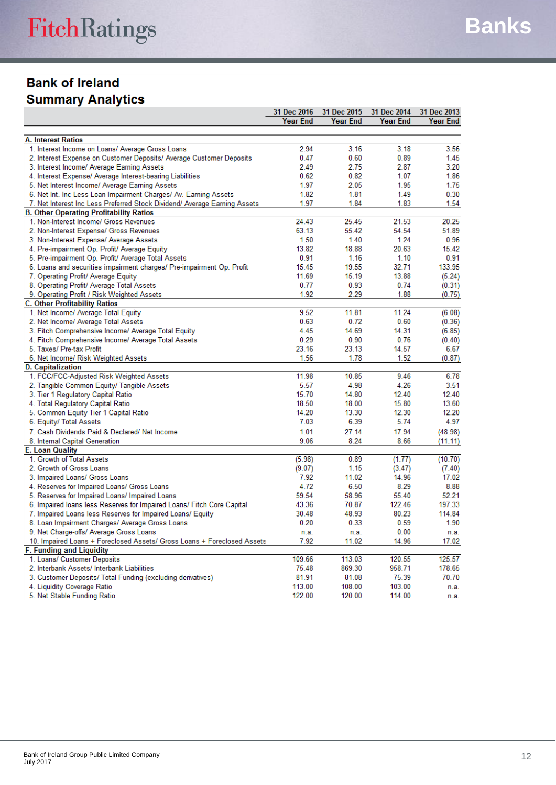## **Bank of Ireland Summary Analytics**

|                                                                                          | <b>31 Dec 2016</b> | 31 Dec 2015     | 31 Dec 2014     | 31 Dec 2013     |
|------------------------------------------------------------------------------------------|--------------------|-----------------|-----------------|-----------------|
|                                                                                          | <b>Year End</b>    | <b>Year End</b> | <b>Year End</b> | <b>Year End</b> |
|                                                                                          |                    |                 |                 |                 |
| <b>A. Interest Ratios</b>                                                                | 2.94               |                 | 3.18            | 3.56            |
| 1. Interest Income on Loans/ Average Gross Loans                                         | 0.47               | 3.16<br>0.60    | 0.89            | 1.45            |
| 2. Interest Expense on Customer Deposits/ Average Customer Deposits                      | 2.49               | 2.75            |                 | 3.20            |
| 3. Interest Income/ Average Earning Assets                                               |                    |                 | 2.87            | 1.86            |
| 4. Interest Expense/ Average Interest-bearing Liabilities                                | 0.62               | 0.82<br>2.05    | 1.07<br>1.95    |                 |
| 5. Net Interest Income/ Average Earning Assets                                           | 1.97               |                 |                 | 1.75            |
| 6. Net Int. Inc Less Loan Impairment Charges/ Av. Earning Assets                         | 1.82<br>1.97       | 1.81<br>1.84    | 1.49            | 0.30            |
| 7. Net Interest Inc Less Preferred Stock Dividend/ Average Earning Assets                |                    |                 | 1.83            | 1.54            |
| <b>B. Other Operating Profitability Ratios</b><br>1. Non-Interest Income/ Gross Revenues | 24.43              | 25.45           | 21.53           | 20.25           |
| 2. Non-Interest Expense/ Gross Revenues                                                  | 63.13              | 55.42           | 54.54           | 51.89           |
|                                                                                          | 1.50               | 1.40            | 1.24            | 0.96            |
| 3. Non-Interest Expense/ Average Assets                                                  | 13.82              | 18.88           | 20.63           | 15.42           |
| 4. Pre-impairment Op. Profit/ Average Equity                                             |                    |                 |                 |                 |
| 5. Pre-impairment Op. Profit/ Average Total Assets                                       | 0.91               | 1.16            | 1.10            | 0.91            |
| 6. Loans and securities impairment charges/ Pre-impairment Op. Profit                    | 15.45              | 19.55           | 32.71           | 133.95          |
| 7. Operating Profit/ Average Equity                                                      | 11.69              | 15.19           | 13.88           | (5.24)          |
| 8. Operating Profit/ Average Total Assets                                                | 0.77               | 0.93            | 0.74            | (0.31)          |
| 9. Operating Profit / Risk Weighted Assets                                               | 1.92               | 2.29            | 1.88            | (0.75)          |
| <b>C. Other Profitability Ratios</b><br>1. Net Income/ Average Total Equity              | 9.52               | 11.81           | 11.24           | (6.08)          |
| 2. Net Income/ Average Total Assets                                                      | 0.63               | 0.72            | 0.60            | (0.36)          |
|                                                                                          | 4.45               | 14.69           | 14.31           |                 |
| 3. Fitch Comprehensive Income/ Average Total Equity                                      | 0.29               | 0.90            | 0.76            | (6.85)          |
| 4. Fitch Comprehensive Income/ Average Total Assets                                      | 23.16              | 23.13           | 14.57           | (0.40)<br>6.67  |
| 5. Taxes/ Pre-tax Profit                                                                 | 1.56               | 1.78            | 1.52            | (0.87)          |
| 6. Net Income/ Risk Weighted Assets<br><b>D. Capitalization</b>                          |                    |                 |                 |                 |
| 1. FCC/FCC-Adjusted Risk Weighted Assets                                                 | 11.98              | 10.85           | 9.46            | 6.78            |
| 2. Tangible Common Equity/ Tangible Assets                                               | 5.57               | 4.98            | 4.26            | 3.51            |
| 3. Tier 1 Regulatory Capital Ratio                                                       | 15.70              | 14.80           | 12.40           | 12.40           |
| 4. Total Regulatory Capital Ratio                                                        | 18.50              | 18.00           | 15.80           | 13.60           |
| 5. Common Equity Tier 1 Capital Ratio                                                    | 14.20              | 13.30           | 12.30           | 12.20           |
| 6. Equity/ Total Assets                                                                  | 7.03               | 6.39            | 5.74            | 4.97            |
| 7. Cash Dividends Paid & Declared/ Net Income                                            | 1.01               | 27.14           | 17.94           |                 |
| 8. Internal Capital Generation                                                           | 9.06               | 8.24            | 8.66            | (48.98)         |
| <b>E. Loan Quality</b>                                                                   |                    |                 |                 | (11.11)         |
| 1. Growth of Total Assets                                                                | (5.98)             | 0.89            | (1.77)          | (10.70)         |
| 2. Growth of Gross Loans                                                                 | (9.07)             | 1.15            | (3.47)          | (7.40)          |
| 3. Impaired Loans/ Gross Loans                                                           | 7.92               | 11.02           | 14.96           | 17.02           |
| 4. Reserves for Impaired Loans/ Gross Loans                                              | 4.72               | 6.50            | 8.29            | 8.88            |
| 5. Reserves for Impaired Loans/ Impaired Loans                                           | 59.54              | 58.96           | 55.40           | 52.21           |
| 6. Impaired Ioans less Reserves for Impaired Loans/ Fitch Core Capital                   | 43.36              | 70.87           | 122.46          | 197.33          |
| 7. Impaired Loans less Reserves for Impaired Loans/ Equity                               | 30.48              | 48.93           | 80.23           | 114.84          |
| 8. Loan Impairment Charges/ Average Gross Loans                                          | 0.20               | 0.33            | 0.59            | 1.90            |
| 9. Net Charge-offs/ Average Gross Loans                                                  | n.a.               | n.a.            | 0.00            | n.a.            |
| 10. Impaired Loans + Foreclosed Assets/ Gross Loans + Foreclosed Assets                  | 7.92               | 11.02           | 14.96           | 17.02           |
| <b>F. Funding and Liquidity</b>                                                          |                    |                 |                 |                 |
| 1. Loans/ Customer Deposits                                                              | 109.66             | 113.03          | 120.55          | 125.57          |
| 2. Interbank Assets/ Interbank Liabilities                                               | 75.48              | 869.30          | 958.71          | 178.65          |
| 3. Customer Deposits/ Total Funding (excluding derivatives)                              | 81.91              | 81.08           | 75.39           | 70.70           |
| 4. Liquidity Coverage Ratio                                                              | 113.00             | 108.00          | 103.00          | n.a.            |
| 5. Net Stable Eunding Ratio                                                              | 122.00             | 120.00          | 114 00          | n a             |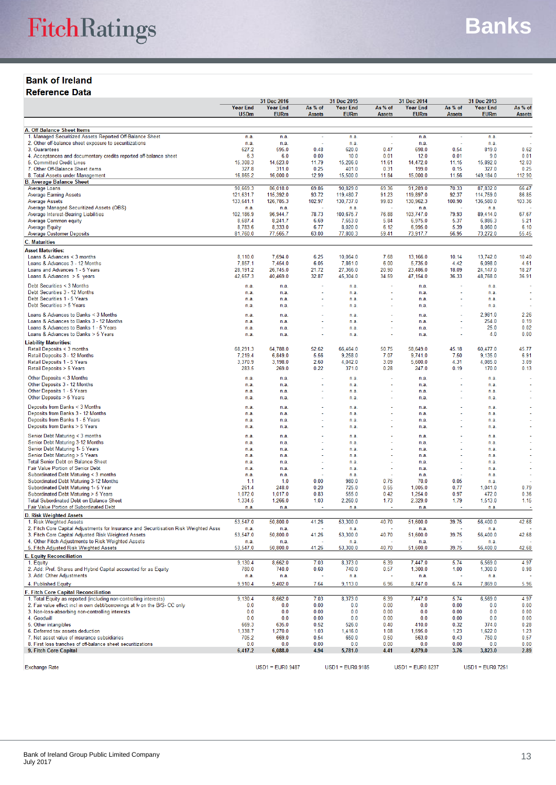#### **Bank of Ireland Reference Data**

|                                                                                                             |                    | 31 Dec 2016        |               | 31 Dec 2015         | 31 Dec 2014   |                     | 31 Dec 2013   |                     |               |
|-------------------------------------------------------------------------------------------------------------|--------------------|--------------------|---------------|---------------------|---------------|---------------------|---------------|---------------------|---------------|
|                                                                                                             | <b>Year End</b>    | <b>Year End</b>    | As % of       | <b>Year End</b>     | As % of       | <b>Year End</b>     | As % of       | <b>Year End</b>     | As % of       |
|                                                                                                             | <b>USDm</b>        | <b>EURm</b>        | <b>Assets</b> | <b>EURm</b>         | <b>Assets</b> | <b>EURm</b>         | <b>Assets</b> | <b>EURm</b>         | <b>Assets</b> |
| A. Off-Balance Sheet Items                                                                                  |                    |                    |               |                     |               |                     |               |                     |               |
| 1. Managed Securitized Assets Reported Off-Balance Sheet                                                    | n.a.               | n.a.               | ÷,            | n.a.                | ÷             | n.a.                | ÷,            | n.a.                |               |
| 2. Other off-balance sheet exposure to securitizations                                                      | n.a.               | n.a.               |               | n.a.                |               | n.a.                |               | n.a.                |               |
| 3. Guarantees                                                                                               | 627.2              | 595.0              | 0.48          | 620.0               | 0.47          | 698.0               | 0.54          | 819.0               | 0.62          |
| 4. Acceptances and documentary credits reported off-balance sheet                                           | 6.3                | 6.0                | 0.00          | 10.0                | 0.01          | 12.0                | 0.01          | 9.0                 | 0.01          |
| 5. Committed Credit Lines<br>7. Other Off-Balance Sheet items                                               | 15,308.3<br>327.8  | 14,523.0<br>311.0  | 11.79<br>0.25 | 15,206.0<br>401.0   | 11.61<br>0.31 | 14,472.0<br>199.0   | 11.15<br>0.15 | 15,892.0<br>327.0   | 12.03<br>0.25 |
| 8. Total Assets under Management                                                                            | 16,865.2           | 16,000.0           | 12.99         | 15,500.0            | 11.84         | 15,000.0            | 11.56         | 149,184.0           | 112.90        |
| <b>B. Average Balance Sheet</b>                                                                             |                    |                    |               |                     |               |                     |               |                     |               |
| Average Loans                                                                                               | 90,669.3           | 86.018.0           | 69.86         | 90,829.0            | 69.36         | 91,289.0            | 70.33         | 87,832.0            | 66.47         |
| <b>Average Earning Assets</b>                                                                               | 121,631.7          | 115,392.0          | 93.72         | 119,480.7           | 91.23         | 119,897.0           | 92.37         | 114.759.0           | 86.85         |
| Average Assets<br>Average Managed Securitized Assets (OBS)                                                  | 133,641.1<br>n.a.  | 126,785.3<br>n.a.  | 102.97        | 130,737.0<br>n.a.   | 99.83         | 130,962.3<br>n.a.   | 100.90        | 136,580.0<br>n.a.   | 103.36        |
| Average Interest-Bearing Liabilities                                                                        | 102,186.9          | 96,944.7           | 78.73         | 100,675.7           | 76.88         | 103,747.0           | 79.93         | 89,414.0            | 67.67         |
| Average Common equity                                                                                       | 8,687.4            | 8,241.7            | 6.69          | 7,653.0             | 5.84          | 6,975.0             | 5.37          | 6,886.3             | 5.21          |
| Average Equity                                                                                              | 8,783.6            | 8,333.0            | 6.77          | 8,020.0             | 6.12          | 6.995.0             | 5.39          | 8,060.0             | 6.10          |
| <b>Average Customer Deposits</b>                                                                            | 81,760.0           | 77,565.7           | 63.00         | 77,800.3            | 59.41         | 73,917.7            | 56.95         | 73,272.0            | 55.45         |
| <b>C. Maturities</b>                                                                                        |                    |                    |               |                     |               |                     |               |                     |               |
| <b>Asset Maturities:</b>                                                                                    |                    |                    |               |                     |               |                     |               |                     |               |
| Loans & Advances $<$ 3 months<br>Loans & Advances 3 - 12 Months                                             | 8,110.0<br>7,857.1 | 7.694.0<br>7,454.0 | 6.25<br>6.05  | 10,064.0<br>7,861.0 | 7.68<br>6.00  | 13,166.0<br>5,735.0 | 10.14<br>4.42 | 13,742.0<br>6,098.0 | 10.40<br>4.61 |
| Loans and Advances 1 - 5 Years                                                                              | 28,191.2           | 26,745.0           | 21.72         | 27,366.0            | 20.90         | 23,486.0            | 18.09         | 24,147.0            | 18.27         |
| Loans & Advances $> 5$ years                                                                                | 42,657.3           | 40,469.0           | 32.87         | 45,304.0            | 34.59         | 47,154.0            | 36.33         | 48,768.0            | 36.91         |
| Debt Securities < 3 Months                                                                                  | n.a.               | n.a.               |               | n.a.                |               | n.a.                |               | n.a.                |               |
| Debt Securities 3 - 12 Months                                                                               | n.a.               | n.a.               |               | n.a.                |               | n.a.                |               | n.a.                |               |
| Debt Securities 1 - 5 Years                                                                                 | n.a.               | n.a.               |               | n.a.                |               | n.a.                |               | n.a.                |               |
| Debt Securities > 5 Years                                                                                   | n.a.               | n.a.               |               | n.a.                |               | n.a.                |               | n.a.                |               |
| Loans & Advances to Banks < 3 Months                                                                        | n.a                | n.a.               |               | n.a.                |               | n.a.                |               | 2,981.0             | 2.26          |
| Loans & Advances to Banks 3 - 12 Months                                                                     | n.a                | n.a.               |               | n.a.                |               | n.a.                |               | 254.0               | 0.19          |
| Loans & Advances to Banks 1 - 5 Years                                                                       | n.a.               | n.a.               |               | n.a.                |               | n.a.                |               | 25.0                | 0.02          |
| Loans & Advances to Banks > 5 Years                                                                         | n.a.               | n.a.               |               | n.a.                |               | n.a.                |               | 4.0                 | 0.00          |
| <b>Liability Maturities:</b>                                                                                |                    |                    |               |                     |               |                     |               |                     |               |
| Retail Deposits < 3 months                                                                                  | 68,291.3           | 64,788.0           | 52.62         | 66,464.0            | 50.75         | 58,649.0            | 45.18         | 60.477.0            | 45.77         |
| Retail Deposits 3 - 12 Months<br>Retail Deposits 1 - 5 Years                                                | 7,219.4<br>3,370.9 | 6,849.0<br>3,198.0 | 5.56<br>2.60  | 9,258.0<br>4,042.0  | 7.07<br>3.09  | 9,741.0<br>5,600.0  | 7.50<br>4.31  | 9,135.0<br>4,085.0  | 6.91<br>3.09  |
| Retail Deposits > 5 Years                                                                                   | 283.5              | 269.0              | 0.22          | 371.0               | 0.28          | 247.0               | 0.19          | 170.0               | 0.13          |
|                                                                                                             |                    |                    |               |                     |               |                     |               |                     |               |
| Other Deposits < 3 Months<br>Other Deposits 3 - 12 Months                                                   | n.a.<br>n.a.       | n.a.<br>n.a.       |               | n.a.<br>n.a.        |               | n.a.<br>n.a.        |               | n.a.<br>n.a.        |               |
| Other Deposits 1 - 5 Years                                                                                  | n.a                | n.a.               |               | n.a.                |               | n.a.                |               | n.a.                |               |
| Other Deposits > 5 Years                                                                                    | n.a.               | n.a.               |               | n.a.                |               | n.a.                |               | n.a.                |               |
| Deposits from Banks < 3 Months                                                                              | n.a                | n.a.               |               | n.a.                |               | n.a.                |               | n.a.                |               |
| Deposits from Banks 3 - 12 Months                                                                           | n.a                | n.a.               |               | n.a.                |               | n.a                 |               | n.a.                |               |
| Deposits from Banks 1 - 5 Years                                                                             | n.a.               | n.a.               |               | n.a.                |               | n.a.                |               | n.a.                |               |
| Deposits from Banks > 5 Years                                                                               | n.a.               | n.a.               |               | n.a.                |               | n.a.                |               | n.a.                |               |
| Senior Debt Maturing < 3 months                                                                             | n.a                | n.a.               |               | n.a.                |               | n.a.                |               | n.a.                |               |
| Senior Debt Maturing 3-12 Months                                                                            | n.a.               | n.a.               |               | n.a.                |               | n.a.                |               | n.a.                |               |
| Senior Debt Maturing 1- 5 Years                                                                             | n.a                | n.a.               |               | n.a.                |               | n.a.                |               | n.a.                |               |
| Senior Debt Maturing > 5 Years                                                                              | n.a                | n.a.               |               | n.a.                |               | n.a.                |               | n.a.                |               |
| <b>Total Senior Debt on Balance Sheet</b><br>Fair Value Portion of Senior Debt                              | n.a.               | n.a.               |               | n.a.                |               | n.a.                |               | n.a.                |               |
| Subordinated Debt Maturing < 3 months                                                                       | n.a.<br>n.a        | n.a.<br>n.a.       |               | n.a<br>n.a.         |               | n.a.<br>n.a         |               | n.a<br>n.a.         |               |
| Subordinated Debt Maturing 3-12 Months                                                                      | 1.1                | 1.0                | 0.00          | 980.0               | 0.75          | 70.0                | 0.05          | n.a.                |               |
| Subordinated Debt Maturing 1- 5 Year                                                                        | 261.4              | 248.0              | 0.20          | 725.0               | 0.55          | 1,005.0             | 0.77          | 1,041.0             | 0.79          |
| Subordinated Debt Maturing > 5 Years                                                                        | 1,072.0            | 1,017.0            | 0.83          | 555.0               | 0.42          | 1,254.0             | 0.97          | 472.0               | 0.36          |
| <b>Total Subordinated Debt on Balance Sheet</b>                                                             | 1,334.5            | 1,266.0            | 1.03          | 2,260.0             | 1.73          | 2,329.0             | 1.79          | 1,513.0             | 1.15          |
| Fair Value Portion of Subordinated Debt                                                                     | n.a.               | n.a.               |               | n.a.                |               | n.a.                |               | n.a.                |               |
| <b>D. Risk Weighted Assets</b><br>1. Risk Weighted Assets                                                   | 53,547.0           | 50,800.0           | 41.26         | 53,300.0            | 40.70         | 51,600.0            | 39.75         | 56,400.0            | 42.68         |
| 2. Fitch Core Capital Adjustments for Insurance and Securitisation Risk Weighted Asse                       | n.a.               | n.a.               |               | n.a.                |               | n.a.                |               | n.a.                |               |
| 3. Fitch Core Capital Adiusted Risk Weighted Assets                                                         | 53,547.0           | 50,800.0           | 41.26         | 53,300.0            | 40.70         | 51,600.0            | 39.75         | 56,400.0            | 42.68         |
| 4. Other Fitch Adjustments to Risk Weighted Assets                                                          | n.a.               | n.a.               |               | n.a.                |               | n.a.                |               | n.a.                |               |
| 5. Fitch Adjusted Risk Weighted Assets                                                                      | 53,547.0           | 50,800.0           | 41.26         | 53,300.0            | 40.70         | 51,600.0            | 39.75         | 56,400.0            | 42.68         |
| <b>E. Equity Reconciliation</b>                                                                             |                    |                    |               |                     |               |                     |               |                     |               |
| 1. Equity                                                                                                   | 9,130.4            | 8,662.0            | 7.03          | 8,373.0             | 6.39          | 7,447.0             | 5.74          | 6,569.0             | 4.97          |
| 2. Add: Pref. Shares and Hybrid Capital accounted for as Equity<br>3. Add: Other Adjustments                | 780.0              | 740.0              | 0.60          | 740.0               | 0.57          | 1,300.0             | 1.00          | 1,300.0             | 0.98          |
|                                                                                                             | n.a.               | n.a.               |               | n.a.                |               | n.a.                |               | n.a.                |               |
| 4. Published Equity                                                                                         | 9,910.4            | 9,402.0            | 7.64          | 9,113.0             | 6.96          | 8,747.0             | 6.74          | 7,869.0             | 5.96          |
| F. Fitch Core Capital Reconciliation<br>1. Total Equity as reported (including non-controlling interests)   | 9,130.4            | 8,662.0            | 7.03          | 8,373.0             | 6.39          | 7,447.0             | 5.74          | 6,569.0             | 4.97          |
| 2. Fair value effect incl in own debt/borrowings at fv on the B/S- CC only                                  | 0.0                | 0.0                | 0.00          | 0.0                 | 0.00          | 0.0                 | 0.00          | 0.0                 | 0.00          |
| 3. Non-loss-absorbing non-controlling interests                                                             | 0.0                | 0.0                | 0.00          | 0.0                 | 0.00          | 0.0                 | 0.00          | 0.0                 | 0.00          |
| 4. Goodwill                                                                                                 | 0.0                | 0.0                | 0.00          | 0.0                 | 0.00          | 0.0                 | 0.00          | 0.0                 | 0.00          |
| 5. Other intangibles                                                                                        | 669.3              | 635.0              | 0.52          | 526.0               | 0.40          | 410.0               | 0.32          | 374.0               | 0.28          |
| 6. Deferred tax assets deduction                                                                            | 1,338.7            | 1,270.0            | 1.03          | 1,416.0             | 1.08          | 1,595.0             | 1.23          | 1,622.0             | 1.23          |
| 7. Net asset value of insurance subsidiaries<br>8. First loss tranches of off-balance sheet securitizations | 705.2<br>0.0       | 669.0<br>0.0       | 0.54<br>0.00  | 650.0<br>0.0        | 0.50<br>0.00  | 563.0<br>0.0        | 0.43<br>0.00  | 750.0<br>0.0        | 0.57<br>0.00  |
| 9. Fitch Core Capital                                                                                       | 6,417.2            | 6,088.0            | 4.94          | 5,781.0             | 4.41          | 4,879.0             | 3.76          | 3,823.0             | 2.89          |
|                                                                                                             |                    |                    |               |                     |               |                     |               |                     |               |
| <b>Exchange Rate</b>                                                                                        |                    | $USD1 = EUR0.9487$ |               | $USD1 = EUR0.9185$  |               | $USD1 = EURO.8237$  |               | $USD1 = EUR0.7251$  |               |